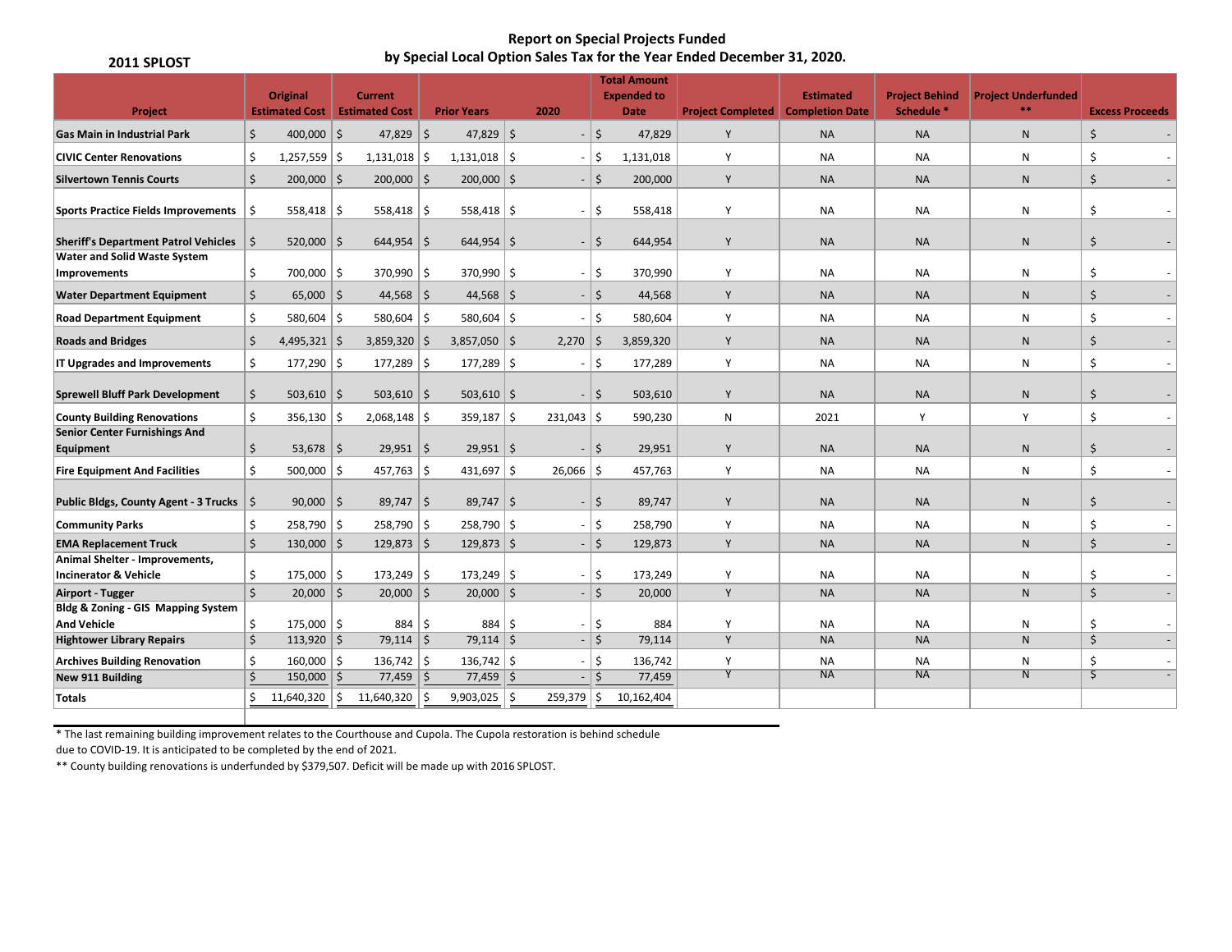## **Report on Special Projects Funded by Special Local Option Sales Tax for the Year Ended December 31, 2020.**

| 2011 SPLOST                                                         |                    |                                                         |                |                  |     |                    |     |              |          |                                                          | by Special Local Option Sales Tax for the Year Ended December 31, 2020. |                  |                                                |                                     |                         |
|---------------------------------------------------------------------|--------------------|---------------------------------------------------------|----------------|------------------|-----|--------------------|-----|--------------|----------|----------------------------------------------------------|-------------------------------------------------------------------------|------------------|------------------------------------------------|-------------------------------------|-------------------------|
| Project                                                             |                    | <b>Original</b><br><b>Estimated Cost</b> Estimated Cost |                | <b>Current</b>   |     | <b>Prior Years</b> |     | 2020         |          | <b>Total Amount</b><br><b>Expended to</b><br><b>Date</b> | <b>Project Completed Completion Date</b>                                | <b>Estimated</b> | <b>Project Behind</b><br>Schedule <sup>*</sup> | <b>Project Underfunded</b><br>$***$ | <b>Excess Proceeds</b>  |
| <b>Gas Main in Industrial Park</b>                                  | \$                 | 400,000 $\vert$ \$                                      |                | $47,829$ \$      |     | 47,829 \$          |     |              | $-$ 5    | 47,829                                                   | Y                                                                       | <b>NA</b>        | <b>NA</b>                                      | $\mathsf{N}$                        | \$                      |
| <b>CIVIC Center Renovations</b>                                     | \$                 | $1,257,559$ \$                                          |                | $1,131,018$ \$   |     | $1,131,018$ \$     |     |              | \$       | 1,131,018                                                | Y                                                                       | NA               | <b>NA</b>                                      | N                                   | Ś                       |
| <b>Silvertown Tennis Courts</b>                                     | \$                 | $200,000$ \$                                            |                | $200,000$ \$     |     | $200,000$ \$       |     |              | $-$ 5    | 200,000                                                  | Y                                                                       | <b>NA</b>        | <b>NA</b>                                      | $\mathsf{N}$                        | \$                      |
| <b>Sports Practice Fields Improvements</b>                          | S.                 | $558,418$ \$                                            |                | $558,418$ \$     |     | 558,418   \$       |     |              | $-15$    | 558,418                                                  | Y                                                                       | <b>NA</b>        | <b>NA</b>                                      | N                                   | Ś.                      |
| <b>Sheriff's Department Patrol Vehicles</b>                         | \$                 | $520,000$   \$                                          |                | $644,954$ \ \$   |     | $644,954$   \$     |     |              | $-$ 5    | 644,954                                                  | Y                                                                       | <b>NA</b>        | <b>NA</b>                                      | N                                   | \$                      |
| <b>Water and Solid Waste System</b><br>Improvements                 | \$                 | 700,000 \$                                              |                | $370,990$ \$     |     | $370,990$ \$       |     |              | $-$  \$  | 370,990                                                  | Y                                                                       | <b>NA</b>        | <b>NA</b>                                      | N                                   | Ś                       |
| <b>Water Department Equipment</b>                                   | Ŝ.                 | $65,000$   \$                                           |                | $44,568$ \$      |     | $44,568$ \$        |     |              | $-$ 5    | 44,568                                                   | Y                                                                       | <b>NA</b>        | <b>NA</b>                                      | N                                   | \$                      |
| <b>Road Department Equipment</b>                                    | \$                 | $580,604$ \$                                            |                | $580,604$ \$     |     | 580,604 $\vert$ \$ |     | $-1$         | -\$      | 580,604                                                  | Y                                                                       | <b>NA</b>        | NA                                             | N                                   | Ś                       |
| <b>Roads and Bridges</b>                                            | \$                 | $4,495,321$ \$                                          |                | $3,859,320$   \$ |     | $3,857,050$ \$     |     | $2,270$ \$   |          | 3,859,320                                                | Y                                                                       | <b>NA</b>        | <b>NA</b>                                      | $\mathsf{N}$                        | \$                      |
| IT Upgrades and Improvements                                        | \$                 | $177,290$   \$                                          |                | $177,289$ \$     |     | $177,289$ \$       |     |              | $-$ 5    | 177,289                                                  | Y                                                                       | <b>NA</b>        | <b>NA</b>                                      | ${\sf N}$                           | \$                      |
| <b>Sprewell Bluff Park Development</b>                              | Ŝ.                 | $503,610$ \$                                            |                | $503,610$ \$     |     | $503,610$ \$       |     |              | $-$ 5    | 503,610                                                  | Y                                                                       | <b>NA</b>        | <b>NA</b>                                      | $\mathsf{N}$                        | \$                      |
| <b>County Building Renovations</b>                                  | Ś.                 | $356,130$ \$                                            |                | $2,068,148$ \$   |     | $359,187$ \$       |     | $231,043$ \$ |          | 590,230                                                  | N                                                                       | 2021             | Y                                              | Y                                   | \$                      |
| <b>Senior Center Furnishings And</b><br>Equipment                   | \$                 | $53,678$ \$                                             |                | $29,951$ \$      |     | $29,951$ \$        |     |              | $-$   \$ | 29,951                                                   | Y                                                                       | <b>NA</b>        | <b>NA</b>                                      | $\mathsf{N}$                        | \$                      |
| <b>Fire Equipment And Facilities</b>                                | \$                 | $500,000$   \$                                          |                | $457,763$ \$     |     | $431,697$ \$       |     | $26,066$ \$  |          | 457,763                                                  | Y                                                                       | NA               | NA                                             | N                                   | \$                      |
| Public Bldgs, County Agent - 3 Trucks   \$                          |                    | $90,000$   \$                                           |                | $89,747$ \$      |     | $89,747$ \$        |     |              | $-$ 5    | 89,747                                                   | Y                                                                       | <b>NA</b>        | <b>NA</b>                                      | $\mathsf{N}$                        | \$                      |
| <b>Community Parks</b>                                              | Ŝ.                 | $258,790$ \$                                            |                | $258,790$ \$     |     | $258,790$ \$       |     |              | $-$ 5    | 258,790                                                  | Y                                                                       | <b>NA</b>        | <b>NA</b>                                      | N                                   | Ś                       |
| <b>EMA Replacement Truck</b>                                        | $\dot{\mathsf{S}}$ | $130,000$ \$                                            |                | $129,873$ \$     |     | $129,873$ \$       |     |              | $-$ 5    | 129,873                                                  | Y                                                                       | <b>NA</b>        | <b>NA</b>                                      | $\mathsf{N}$                        | \$                      |
| Animal Shelter - Improvements,<br><b>Incinerator &amp; Vehicle</b>  | \$                 | $175,000$   \$                                          |                | $173,249$ \$     |     | $173,249$ \$       |     |              | $-15$    | 173,249                                                  | Y                                                                       | <b>NA</b>        | <b>NA</b>                                      | N                                   | Ś                       |
| <b>Airport - Tugger</b>                                             | $\mathsf{S}$       | 20,000                                                  | $  \mathsf{s}$ | $20,000$ \$      |     | $20,000$ \$        |     |              | $-$ 5    | 20,000                                                   | Y                                                                       | <b>NA</b>        | <b>NA</b>                                      | $\mathsf{N}$                        | $\zeta$                 |
| <b>Bldg &amp; Zoning - GIS Mapping System</b><br><b>And Vehicle</b> | \$                 | $175,000$   \$                                          |                | 884              | l\$ | 884 5              |     |              | -\$      | 884                                                      | Y                                                                       | <b>NA</b>        | <b>NA</b>                                      | ${\sf N}$                           | Ś                       |
| <b>Hightower Library Repairs</b>                                    | \$                 | $113,920$ \$                                            |                | $79,114$ \$      |     | $79,114$   \$      |     |              | $-$ 5    | 79,114                                                   | Y                                                                       | <b>NA</b>        | <b>NA</b>                                      | ${\sf N}$                           | \$                      |
| <b>Archives Building Renovation</b>                                 | \$                 | $160,000$ \$                                            |                | $136,742$ \$     |     | $136,742$ \$       |     |              | $-$ 5    | 136,742                                                  | Y                                                                       | <b>NA</b>        | <b>NA</b>                                      | ${\sf N}$                           | Ś                       |
| New 911 Building                                                    | Ś.                 | 150,000                                                 | l S            | 77,459           | Ŝ.  | $77,459$ \$        |     |              | Ś.       | 77,459                                                   | $\overline{Y}$                                                          | NA               | <b>NA</b>                                      | $\overline{N}$                      | $\overline{\mathsf{S}}$ |
| Totals                                                              | Ś.                 | 11,640,320                                              | Ŝ.             | 11,640,320       |     | 9,903,025          | ۱\$ | $259,379$ \$ |          | 10,162,404                                               |                                                                         |                  |                                                |                                     |                         |
|                                                                     |                    |                                                         |                |                  |     |                    |     |              |          |                                                          |                                                                         |                  |                                                |                                     |                         |

\* The last remaining building improvement relates to the Courthouse and Cupola. The Cupola restoration is behind schedule

due to COVID-19. It is anticipated to be completed by the end of 2021.

\*\* County building renovations is underfunded by \$379,507. Deficit will be made up with 2016 SPLOST.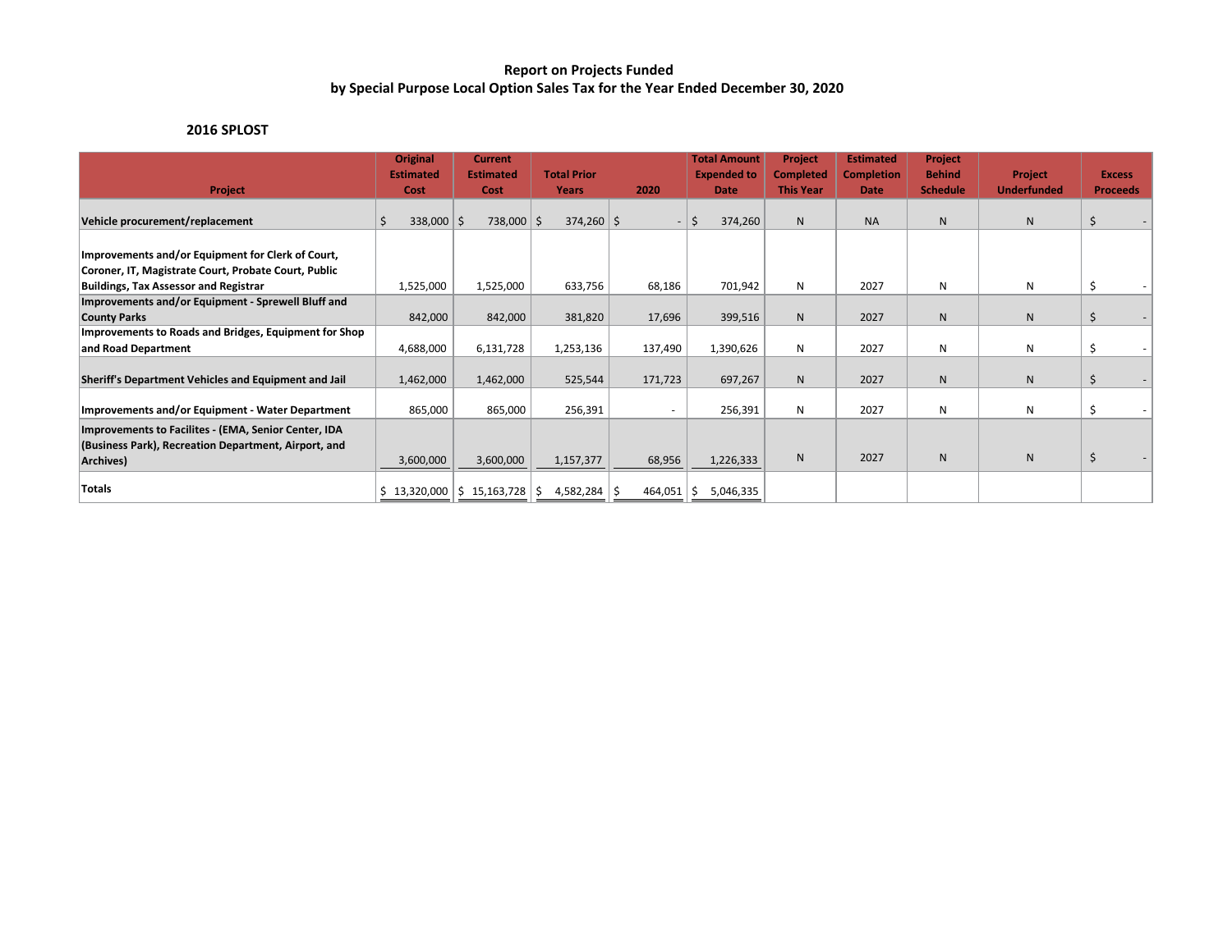## **Report on Projects Funded by Special Purpose Local Option Sales Tax for the Year Ended December 30, 2020**

# **2016 SPLOST**

| Project                                                                                                                   | <b>Original</b><br><b>Estimated</b><br>Cost | <b>Current</b><br><b>Estimated</b><br>Cost | <b>Total Prior</b><br>Years | 2020             | <b>Total Amount</b><br><b>Expended to</b><br><b>Date</b> | <b>Project</b><br><b>Completed</b><br><b>This Year</b> | <b>Estimated</b><br><b>Completion</b><br>Date | <b>Project</b><br><b>Behind</b><br><b>Schedule</b> | <b>Project</b><br><b>Underfunded</b> | <b>Excess</b><br><b>Proceeds</b> |
|---------------------------------------------------------------------------------------------------------------------------|---------------------------------------------|--------------------------------------------|-----------------------------|------------------|----------------------------------------------------------|--------------------------------------------------------|-----------------------------------------------|----------------------------------------------------|--------------------------------------|----------------------------------|
| Vehicle procurement/replacement                                                                                           | $338,000$ \$                                | 738,000 \$                                 | $374,260$ \$                |                  | \$<br>374,260                                            | N                                                      | <b>NA</b>                                     | N                                                  | N                                    | \$                               |
| Improvements and/or Equipment for Clerk of Court,<br>Coroner, IT, Magistrate Court, Probate Court, Public                 |                                             |                                            |                             |                  |                                                          |                                                        |                                               |                                                    |                                      |                                  |
| <b>Buildings, Tax Assessor and Registrar</b><br>Improvements and/or Equipment - Sprewell Bluff and<br><b>County Parks</b> | 1,525,000<br>842,000                        | 1,525,000<br>842,000                       | 633,756<br>381,820          | 68,186<br>17,696 | 701,942<br>399,516                                       | N<br>N <sub>1</sub>                                    | 2027<br>2027                                  | N<br>N                                             | N<br>N                               | \$                               |
| Improvements to Roads and Bridges, Equipment for Shop<br>and Road Department                                              | 4,688,000                                   | 6,131,728                                  | 1,253,136                   | 137,490          | 1,390,626                                                | N                                                      | 2027                                          | N                                                  | N                                    |                                  |
| Sheriff's Department Vehicles and Equipment and Jail                                                                      | 1,462,000                                   | 1,462,000                                  | 525,544                     | 171,723          | 697,267                                                  | ${\sf N}$                                              | 2027                                          | $\mathsf{N}$                                       | ${\sf N}$                            | \$                               |
| Improvements and/or Equipment - Water Department                                                                          | 865,000                                     | 865,000                                    | 256,391                     | $\overline{a}$   | 256,391                                                  | N                                                      | 2027                                          | N                                                  | N                                    |                                  |
| Improvements to Facilites - (EMA, Senior Center, IDA<br>(Business Park), Recreation Department, Airport, and<br>Archives) | 3,600,000                                   | 3,600,000                                  | 1,157,377                   | 68,956           | 1,226,333                                                | N                                                      | 2027                                          | <sub>N</sub>                                       | N                                    | \$                               |
| Totals                                                                                                                    |                                             | $$13,320,000$ $$15,163,728$                | 4,582,284<br>S.             | 464,051          | 5,046,335<br>S                                           |                                                        |                                               |                                                    |                                      |                                  |